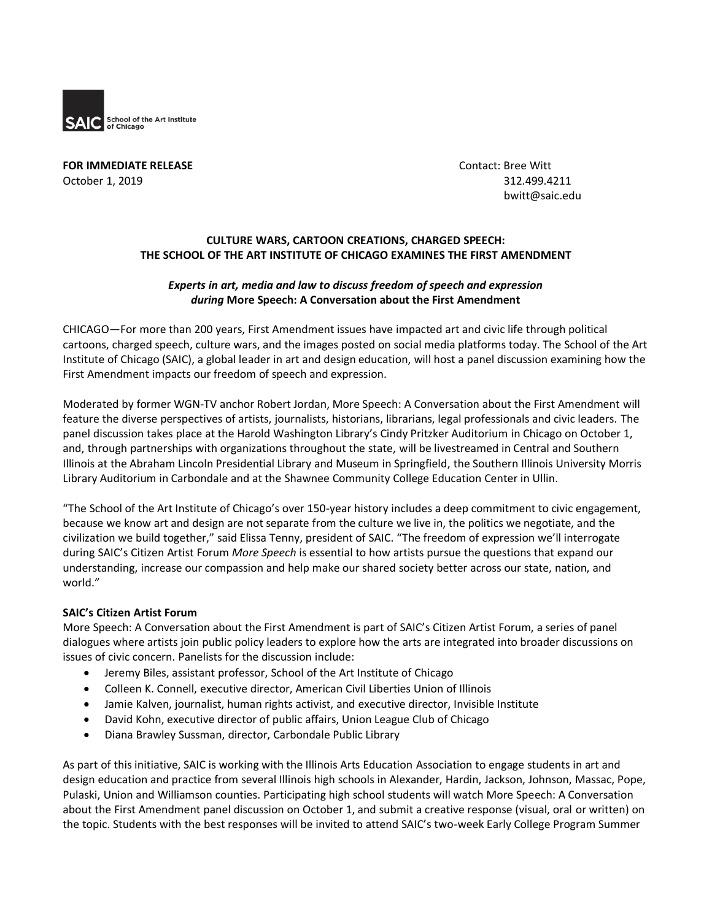

**FOR IMMEDIATE RELEASE CONTACT ASSESSED ASSESSED ASSESSED AT A REPORT OF STATE OF A REPORT OF STATE AND THE STATE OF A REPORT OF STATE OF A REPORT OF STATE OF A REPORT OF STATE OF A REPORT OF A REPORT OF A REPORT OF A RE** October 1, 2019 312.499.4211

bwitt@saic.edu

# **CULTURE WARS, CARTOON CREATIONS, CHARGED SPEECH: THE SCHOOL OF THE ART INSTITUTE OF CHICAGO EXAMINES THE FIRST AMENDMENT**

#### *Experts in art, media and law to discuss freedom of speech and expression during* **More Speech: A Conversation about the First Amendment**

CHICAGO—For more than 200 years, First Amendment issues have impacted art and civic life through political cartoons, charged speech, culture wars, and the images posted on social media platforms today. The School of the Art Institute of Chicago (SAIC), a global leader in art and design education, will host a panel discussion examining how the First Amendment impacts our freedom of speech and expression.

Moderated by former WGN-TV anchor Robert Jordan, More Speech: A Conversation about the First Amendment will feature the diverse perspectives of artists, journalists, historians, librarians, legal professionals and civic leaders. The panel discussion takes place at the Harold Washington Library's Cindy Pritzker Auditorium in Chicago on October 1, and, through partnerships with organizations throughout the state, will be livestreamed in Central and Southern Illinois at the Abraham Lincoln Presidential Library and Museum in Springfield, the Southern Illinois University Morris Library Auditorium in Carbondale and at the Shawnee Community College Education Center in Ullin.

"The School of the Art Institute of Chicago's over 150-year history includes a deep commitment to civic engagement, because we know art and design are not separate from the culture we live in, the politics we negotiate, and the civilization we build together," said Elissa Tenny, president of SAIC. "The freedom of expression we'll interrogate during SAIC's Citizen Artist Forum *More Speech* is essential to how artists pursue the questions that expand our understanding, increase our compassion and help make our shared society better across our state, nation, and world."

#### **SAIC's Citizen Artist Forum**

More Speech: A Conversation about the First Amendment is part of SAIC's Citizen Artist Forum, a series of panel dialogues where artists join public policy leaders to explore how the arts are integrated into broader discussions on issues of civic concern. Panelists for the discussion include:

- Jeremy Biles, assistant professor, School of the Art Institute of Chicago
- Colleen K. Connell, executive director, American Civil Liberties Union of Illinois
- Jamie Kalven, journalist, human rights activist, and executive director, Invisible Institute
- David Kohn, executive director of public affairs, Union League Club of Chicago
- Diana Brawley Sussman, director, Carbondale Public Library

As part of this initiative, SAIC is working with the Illinois Arts Education Association to engage students in art and design education and practice from several Illinois high schools in Alexander, Hardin, Jackson, Johnson, Massac, Pope, Pulaski, Union and Williamson counties. Participating high school students will watch More Speech: A Conversation about the First Amendment panel discussion on October 1, and submit a creative response (visual, oral or written) on the topic. Students with the best responses will be invited to attend SAIC's two-week Early College Program Summer